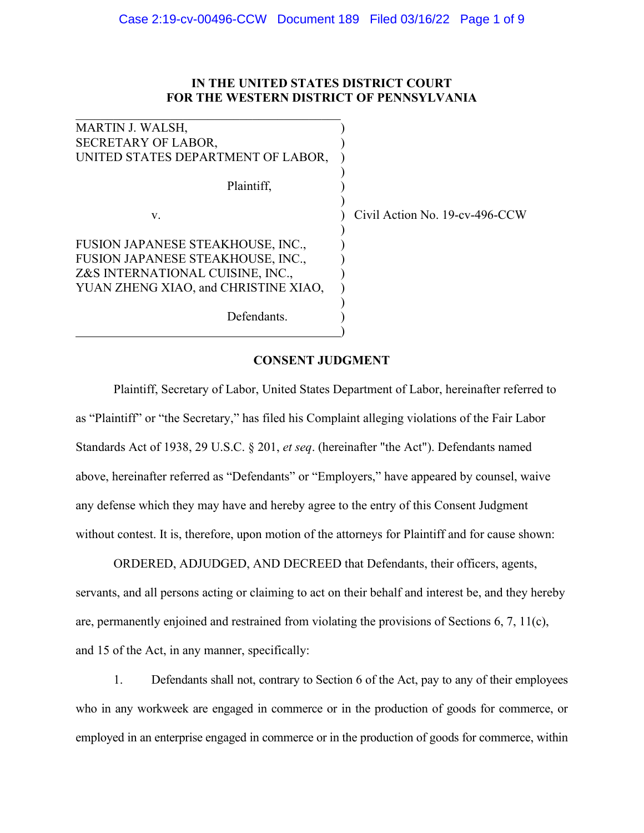# **IN THE UNITED STATES DISTRICT COURT FOR THE WESTERN DISTRICT OF PENNSYLVANIA**

| <b>MARTIN J. WALSH,</b>              |  |
|--------------------------------------|--|
| <b>SECRETARY OF LABOR,</b>           |  |
| UNITED STATES DEPARTMENT OF LABOR,   |  |
|                                      |  |
| Plaintiff,                           |  |
|                                      |  |
| V.                                   |  |
|                                      |  |
| FUSION JAPANESE STEAKHOUSE, INC.,    |  |
| FUSION JAPANESE STEAKHOUSE, INC.,    |  |
| Z&S INTERNATIONAL CUISINE, INC.,     |  |
| YUAN ZHENG XIAO, and CHRISTINE XIAO, |  |
|                                      |  |
| Defendants.                          |  |

Civil Action No. 19-cv-496-CCW

# **CONSENT JUDGMENT**

)

Plaintiff, Secretary of Labor, United States Department of Labor, hereinafter referred to as "Plaintiff" or "the Secretary," has filed his Complaint alleging violations of the Fair Labor Standards Act of 1938, 29 U.S.C. § 201, *et seq*. (hereinafter "the Act"). Defendants named above, hereinafter referred as "Defendants" or "Employers," have appeared by counsel, waive any defense which they may have and hereby agree to the entry of this Consent Judgment without contest. It is, therefore, upon motion of the attorneys for Plaintiff and for cause shown:

ORDERED, ADJUDGED, AND DECREED that Defendants, their officers, agents, servants, and all persons acting or claiming to act on their behalf and interest be, and they hereby are, permanently enjoined and restrained from violating the provisions of Sections  $6, 7, 11(c)$ , and 15 of the Act, in any manner, specifically:

1. Defendants shall not, contrary to Section 6 of the Act, pay to any of their employees who in any workweek are engaged in commerce or in the production of goods for commerce, or employed in an enterprise engaged in commerce or in the production of goods for commerce, within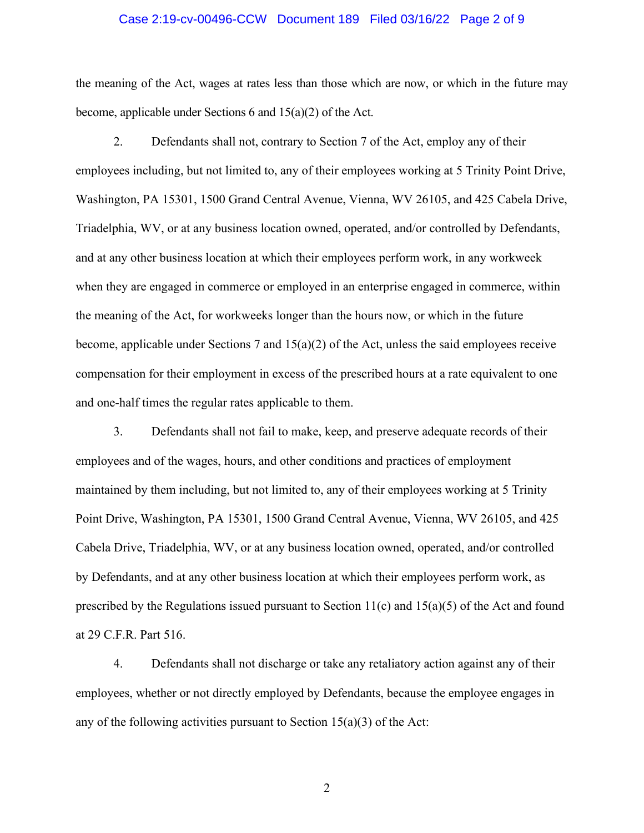#### Case 2:19-cv-00496-CCW Document 189 Filed 03/16/22 Page 2 of 9

the meaning of the Act, wages at rates less than those which are now, or which in the future may become, applicable under Sections 6 and 15(a)(2) of the Act.

2. Defendants shall not, contrary to Section 7 of the Act, employ any of their employees including, but not limited to, any of their employees working at 5 Trinity Point Drive, Washington, PA 15301, 1500 Grand Central Avenue, Vienna, WV 26105, and 425 Cabela Drive, Triadelphia, WV, or at any business location owned, operated, and/or controlled by Defendants, and at any other business location at which their employees perform work, in any workweek when they are engaged in commerce or employed in an enterprise engaged in commerce, within the meaning of the Act, for workweeks longer than the hours now, or which in the future become, applicable under Sections 7 and 15(a)(2) of the Act, unless the said employees receive compensation for their employment in excess of the prescribed hours at a rate equivalent to one and one-half times the regular rates applicable to them.

3. Defendants shall not fail to make, keep, and preserve adequate records of their employees and of the wages, hours, and other conditions and practices of employment maintained by them including, but not limited to, any of their employees working at 5 Trinity Point Drive, Washington, PA 15301, 1500 Grand Central Avenue, Vienna, WV 26105, and 425 Cabela Drive, Triadelphia, WV, or at any business location owned, operated, and/or controlled by Defendants, and at any other business location at which their employees perform work, as prescribed by the Regulations issued pursuant to Section  $11(c)$  and  $15(a)(5)$  of the Act and found at 29 C.F.R. Part 516.

4. Defendants shall not discharge or take any retaliatory action against any of their employees, whether or not directly employed by Defendants, because the employee engages in any of the following activities pursuant to Section  $15(a)(3)$  of the Act: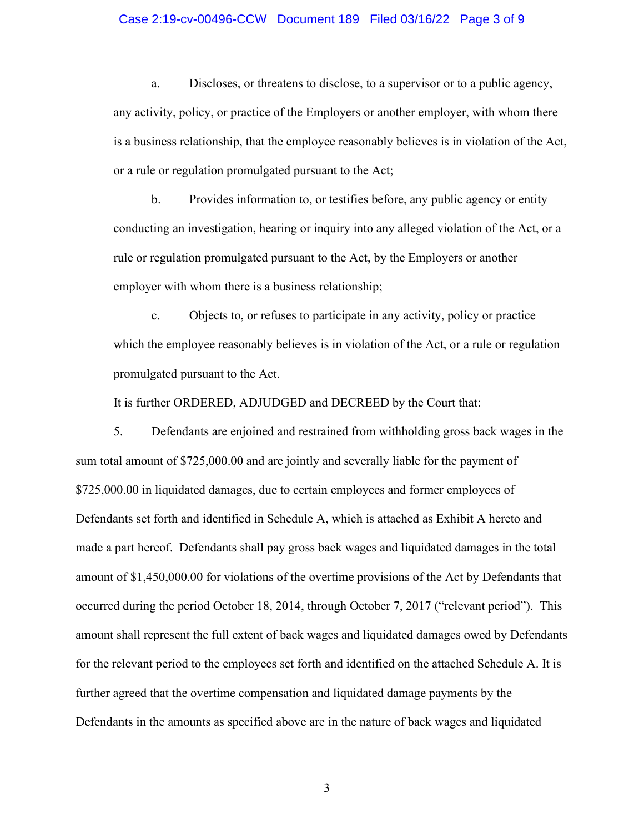## Case 2:19-cv-00496-CCW Document 189 Filed 03/16/22 Page 3 of 9

a. Discloses, or threatens to disclose, to a supervisor or to a public agency, any activity, policy, or practice of the Employers or another employer, with whom there is a business relationship, that the employee reasonably believes is in violation of the Act, or a rule or regulation promulgated pursuant to the Act;

b. Provides information to, or testifies before, any public agency or entity conducting an investigation, hearing or inquiry into any alleged violation of the Act, or a rule or regulation promulgated pursuant to the Act, by the Employers or another employer with whom there is a business relationship;

c. Objects to, or refuses to participate in any activity, policy or practice which the employee reasonably believes is in violation of the Act, or a rule or regulation promulgated pursuant to the Act.

It is further ORDERED, ADJUDGED and DECREED by the Court that:

5. Defendants are enjoined and restrained from withholding gross back wages in the sum total amount of \$725,000.00 and are jointly and severally liable for the payment of \$725,000.00 in liquidated damages, due to certain employees and former employees of Defendants set forth and identified in Schedule A, which is attached as Exhibit A hereto and made a part hereof. Defendants shall pay gross back wages and liquidated damages in the total amount of \$1,450,000.00 for violations of the overtime provisions of the Act by Defendants that occurred during the period October 18, 2014, through October 7, 2017 ("relevant period"). This amount shall represent the full extent of back wages and liquidated damages owed by Defendants for the relevant period to the employees set forth and identified on the attached Schedule A. It is further agreed that the overtime compensation and liquidated damage payments by the Defendants in the amounts as specified above are in the nature of back wages and liquidated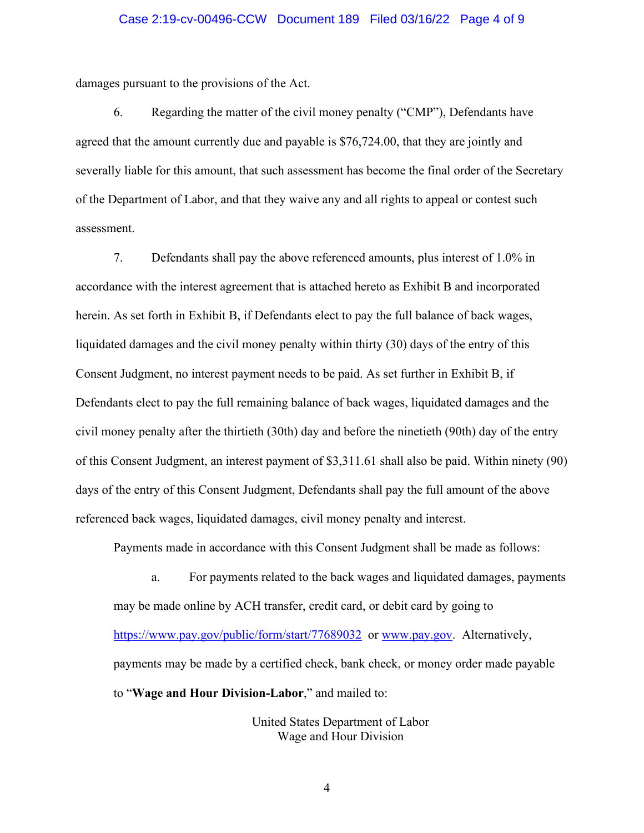## Case 2:19-cv-00496-CCW Document 189 Filed 03/16/22 Page 4 of 9

damages pursuant to the provisions of the Act.

6. Regarding the matter of the civil money penalty ("CMP"), Defendants have agreed that the amount currently due and payable is \$76,724.00, that they are jointly and severally liable for this amount, that such assessment has become the final order of the Secretary of the Department of Labor, and that they waive any and all rights to appeal or contest such assessment.

7. Defendants shall pay the above referenced amounts, plus interest of 1.0% in accordance with the interest agreement that is attached hereto as Exhibit B and incorporated herein. As set forth in Exhibit B, if Defendants elect to pay the full balance of back wages, liquidated damages and the civil money penalty within thirty (30) days of the entry of this Consent Judgment, no interest payment needs to be paid. As set further in Exhibit B, if Defendants elect to pay the full remaining balance of back wages, liquidated damages and the civil money penalty after the thirtieth (30th) day and before the ninetieth (90th) day of the entry of this Consent Judgment, an interest payment of \$3,311.61 shall also be paid. Within ninety (90) days of the entry of this Consent Judgment, Defendants shall pay the full amount of the above referenced back wages, liquidated damages, civil money penalty and interest.

Payments made in accordance with this Consent Judgment shall be made as follows:

a. For payments related to the back wages and liquidated damages, payments may be made online by ACH transfer, credit card, or debit card by going to <https://www.pay.gov/public/form/start/77689032>or [www.pay.gov.](http://www.pay.gov/) Alternatively, payments may be made by a certified check, bank check, or money order made payable to "**Wage and Hour Division-Labor**," and mailed to:

> United States Department of Labor Wage and Hour Division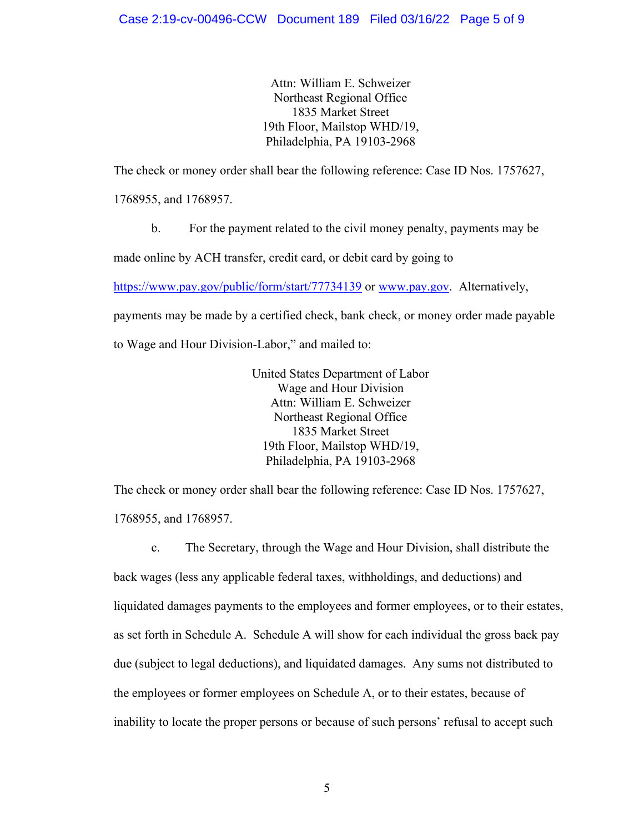Attn: William E. Schweizer Northeast Regional Office 1835 Market Street 19th Floor, Mailstop WHD/19, Philadelphia, PA 19103-2968

The check or money order shall bear the following reference: Case ID Nos. 1757627,

1768955, and 1768957.

b. For the payment related to the civil money penalty, payments may be

made online by ACH transfer, credit card, or debit card by going to

<https://www.pay.gov/public/form/start/77734139> or [www.pay.gov.](http://www.pay.gov/) Alternatively,

payments may be made by a certified check, bank check, or money order made payable

to Wage and Hour Division-Labor," and mailed to:

United States Department of Labor Wage and Hour Division Attn: William E. Schweizer Northeast Regional Office 1835 Market Street 19th Floor, Mailstop WHD/19, Philadelphia, PA 19103-2968

The check or money order shall bear the following reference: Case ID Nos. 1757627, 1768955, and 1768957.

c. The Secretary, through the Wage and Hour Division, shall distribute the back wages (less any applicable federal taxes, withholdings, and deductions) and liquidated damages payments to the employees and former employees, or to their estates, as set forth in Schedule A. Schedule A will show for each individual the gross back pay due (subject to legal deductions), and liquidated damages. Any sums not distributed to the employees or former employees on Schedule A, or to their estates, because of inability to locate the proper persons or because of such persons' refusal to accept such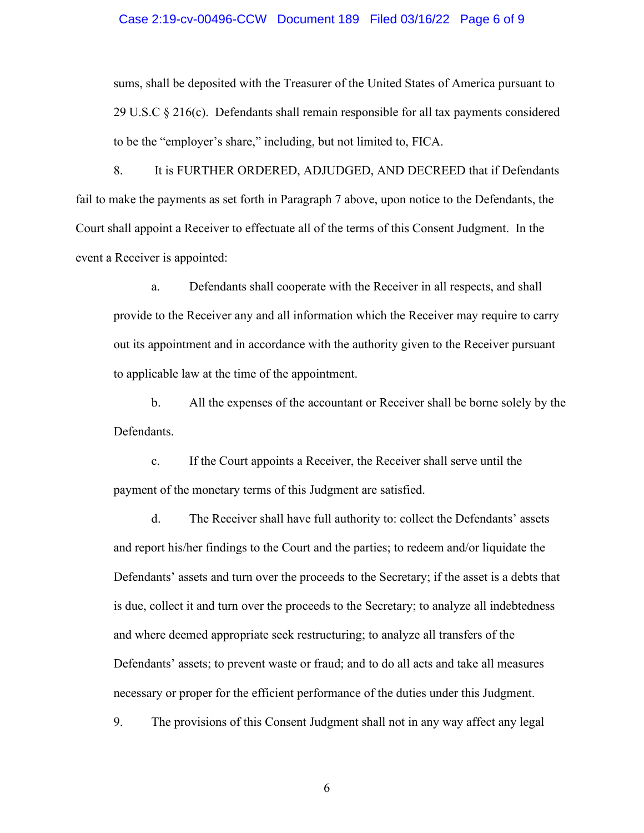#### Case 2:19-cv-00496-CCW Document 189 Filed 03/16/22 Page 6 of 9

sums, shall be deposited with the Treasurer of the United States of America pursuant to 29 U.S.C  $\S 216(c)$ . Defendants shall remain responsible for all tax payments considered to be the "employer's share," including, but not limited to, FICA.

8. It is FURTHER ORDERED, ADJUDGED, AND DECREED that if Defendants fail to make the payments as set forth in Paragraph 7 above, upon notice to the Defendants, the Court shall appoint a Receiver to effectuate all of the terms of this Consent Judgment. In the event a Receiver is appointed:

a. Defendants shall cooperate with the Receiver in all respects, and shall provide to the Receiver any and all information which the Receiver may require to carry out its appointment and in accordance with the authority given to the Receiver pursuant to applicable law at the time of the appointment.

b. All the expenses of the accountant or Receiver shall be borne solely by the Defendants.

c. If the Court appoints a Receiver, the Receiver shall serve until the payment of the monetary terms of this Judgment are satisfied.

d. The Receiver shall have full authority to: collect the Defendants' assets and report his/her findings to the Court and the parties; to redeem and/or liquidate the Defendants' assets and turn over the proceeds to the Secretary; if the asset is a debts that is due, collect it and turn over the proceeds to the Secretary; to analyze all indebtedness and where deemed appropriate seek restructuring; to analyze all transfers of the Defendants' assets; to prevent waste or fraud; and to do all acts and take all measures necessary or proper for the efficient performance of the duties under this Judgment.

9. The provisions of this Consent Judgment shall not in any way affect any legal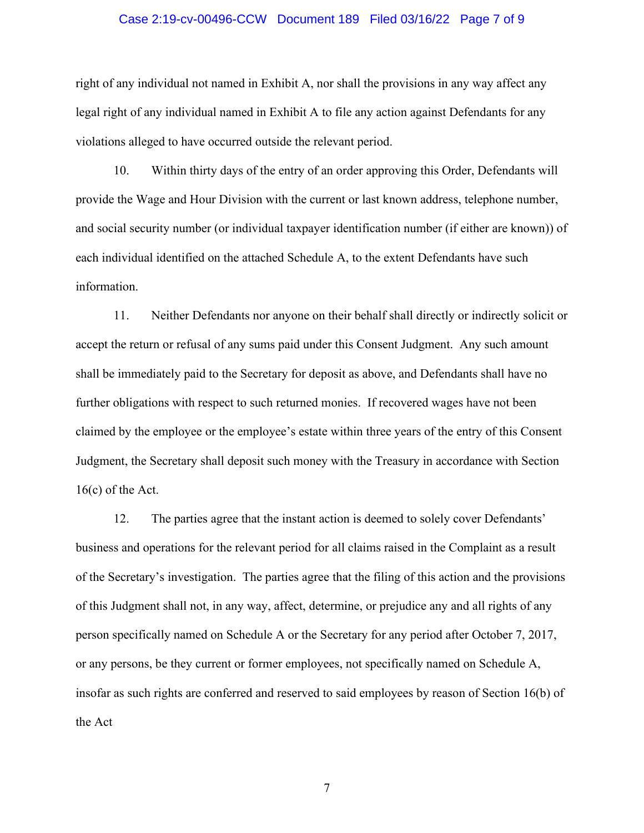## Case 2:19-cv-00496-CCW Document 189 Filed 03/16/22 Page 7 of 9

right of any individual not named in Exhibit A, nor shall the provisions in any way affect any legal right of any individual named in Exhibit A to file any action against Defendants for any violations alleged to have occurred outside the relevant period.

10. Within thirty days of the entry of an order approving this Order, Defendants will provide the Wage and Hour Division with the current or last known address, telephone number, and social security number (or individual taxpayer identification number (if either are known)) of each individual identified on the attached Schedule A, to the extent Defendants have such information.

11. Neither Defendants nor anyone on their behalf shall directly or indirectly solicit or accept the return or refusal of any sums paid under this Consent Judgment. Any such amount shall be immediately paid to the Secretary for deposit as above, and Defendants shall have no further obligations with respect to such returned monies. If recovered wages have not been claimed by the employee or the employee's estate within three years of the entry of this Consent Judgment, the Secretary shall deposit such money with the Treasury in accordance with Section 16(c) of the Act.

12. The parties agree that the instant action is deemed to solely cover Defendants' business and operations for the relevant period for all claims raised in the Complaint as a result of the Secretary's investigation. The parties agree that the filing of this action and the provisions of this Judgment shall not, in any way, affect, determine, or prejudice any and all rights of any person specifically named on Schedule A or the Secretary for any period after October 7, 2017, or any persons, be they current or former employees, not specifically named on Schedule A, insofar as such rights are conferred and reserved to said employees by reason of Section 16(b) of the Act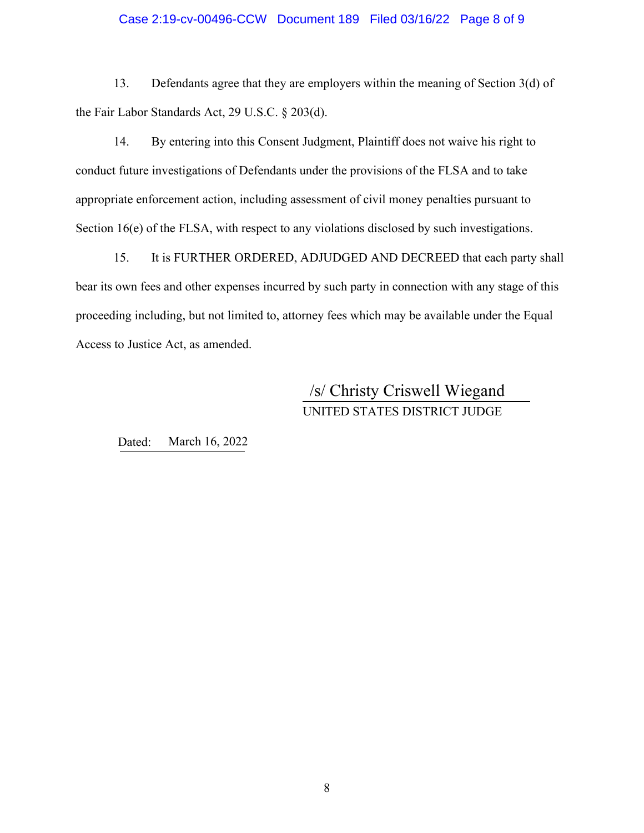## Case 2:19-cv-00496-CCW Document 189 Filed 03/16/22 Page 8 of 9

13. Defendants agree that they are employers within the meaning of Section 3(d) of the Fair Labor Standards Act, 29 U.S.C. § 203(d).

14. By entering into this Consent Judgment, Plaintiff does not waive his right to conduct future investigations of Defendants under the provisions of the FLSA and to take appropriate enforcement action, including assessment of civil money penalties pursuant to Section 16(e) of the FLSA, with respect to any violations disclosed by such investigations.

15. It is FURTHER ORDERED, ADJUDGED AND DECREED that each party shall bear its own fees and other expenses incurred by such party in connection with any stage of this proceeding including, but not limited to, attorney fees which may be available under the Equal Access to Justice Act, as amended.

# UNITED STATES DISTRICT JUDGE /s/ Christy Criswell Wiegand

Dated: March 16, 2022